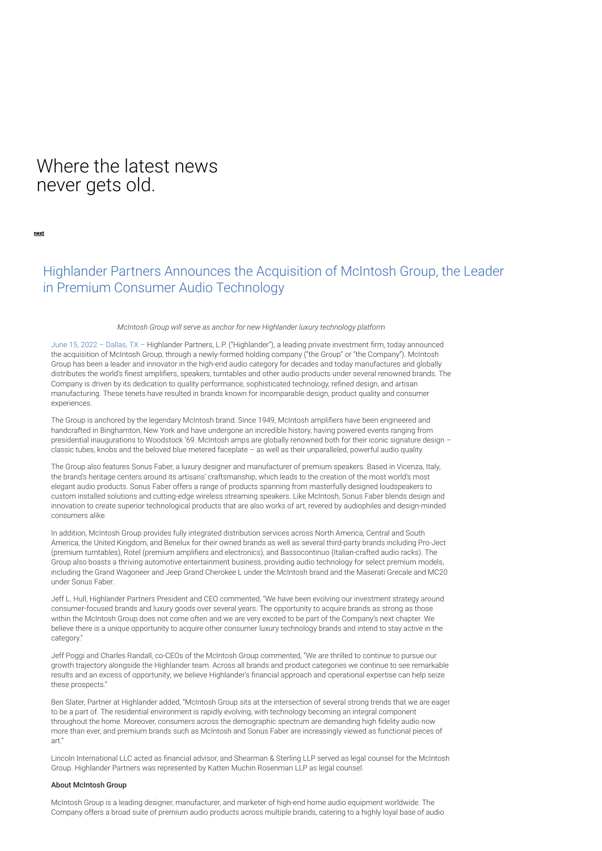# Where the latest news never gets old.

[next](https://highlander-partners.com/uncategorized/highlander-partners-announces-the-formation-of-high-point-aerotechnologies-llc-appoints-jim-gavrilis-as-president-and-ceo/)

## Highlander Partners Announces the Acquisition of McIntosh Group, the Leader in Premium Consumer Audio Technology

### *McIntosh Group will serve as anchor for new Highlander luxury technology platform*

June 15, 2022 - Dallas, TX - Highlander Partners, L.P. ("Highlander"), a leading private investment firm, today announced the acquisition of McIntosh Group, through a newly-formed holding company ("the Group" or "the Company"). McIntosh Group has been a leader and innovator in the high-end audio category for decades and today manufactures and globally distributes the world's finest amplifiers, speakers, turntables and other audio products under several renowned brands. The Company is driven by its dedication to quality performance, sophisticated technology, refined design, and artisan manufacturing. These tenets have resulted in brands known for incomparable design, product quality and consumer experiences.

The Group is anchored by the legendary McIntosh brand. Since 1949, McIntosh amplifiers have been engineered and handcrafted in Binghamton, New York and have undergone an incredible history, having powered events ranging from presidential inaugurations to Woodstock '69. McIntosh amps are globally renowned both for their iconic signature design classic tubes, knobs and the beloved blue metered faceplate – as well as their unparalleled, powerful audio quality.

The Group also features Sonus Faber, a luxury designer and manufacturer of premium speakers. Based in Vicenza, Italy, the brand's heritage centers around its artisans' craftsmanship, which leads to the creation of the most world's most elegant audio products. Sonus Faber offers a range of products spanning from masterfully designed loudspeakers to custom installed solutions and cutting-edge wireless streaming speakers. Like McIntosh, Sonus Faber blends design and innovation to create superior technological products that are also works of art, revered by audiophiles and design-minded consumers alike.

In addition, McIntosh Group provides fully integrated distribution services across North America, Central and South America, the United Kingdom, and Benelux for their owned brands as well as several third-party brands including Pro-Ject (premium turntables), Rotel (premium amplifiers and electronics), and Bassocontinuo (Italian-crafted audio racks). The Group also boasts a thriving automotive entertainment business, providing audio technology for select premium models, including the Grand Wagoneer and Jeep Grand Cherokee L under the McIntosh brand and the Maserati Grecale and MC20 under Sonus Faber.

Jeff L. Hull, Highlander Partners President and CEO commented, "We have been evolving our investment strategy around consumer-focused brands and luxury goods over several years. The opportunity to acquire brands as strong as those within the McIntosh Group does not come often and we are very excited to be part of the Company's next chapter. We believe there is a unique opportunity to acquire other consumer luxury technology brands and intend to stay active in the category."

Jeff Poggi and Charles Randall, co-CEOs of the McIntosh Group commented, "We are thrilled to continue to pursue our growth trajectory alongside the Highlander team. Across all brands and product categories we continue to see remarkable results and an excess of opportunity; we believe Highlander's financial approach and operational expertise can help seize these prospects."

Ben Slater, Partner at Highlander added, "McIntosh Group sits at the intersection of several strong trends that we are eager to be a part of. The residential environment is rapidly evolving, with technology becoming an integral component throughout the home. Moreover, consumers across the demographic spectrum are demanding high fidelity audio now more than ever, and premium brands such as McIntosh and Sonus Faber are increasingly viewed as functional pieces of art."

Lincoln International LLC acted as financial advisor, and Shearman & Sterling LLP served as legal counsel for the McIntosh Group. Highlander Partners was represented by Katten Muchin Rosenman LLP as legal counsel.

#### About McIntosh Group

McIntosh Group is a leading designer, manufacturer, and marketer of high-end home audio equipment worldwide. The Company offers a broad suite of premium audio products across multiple brands, catering to a highly loyal base of audio